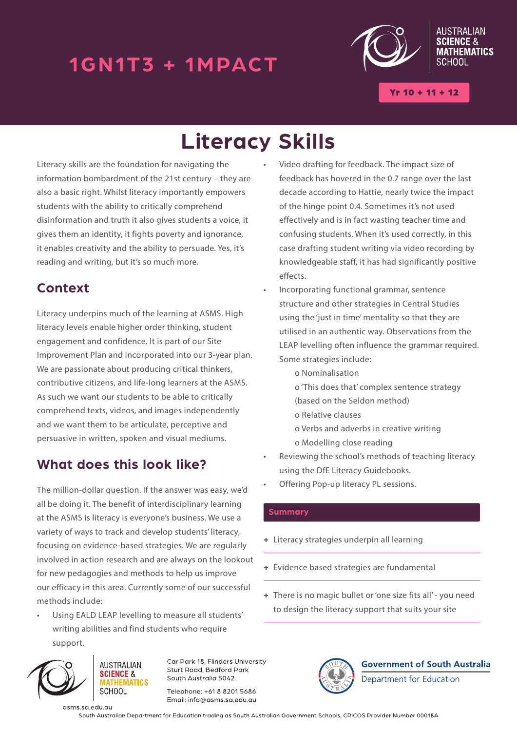# 1GN1T3 + 1MPACT



**ALISTRALIAN MATHEMATICS SCHOOL** 

 $Yr 10 + 11 + 12$ 

# **Literacy Skills**

Literacy skills are the foundation for navigating the information bombardment of the 21st century – they are also a basic right. Whilst literacy importantly empowers students with the ability to critically comprehend disinformation and truth it also gives students a voice, it gives them an identity, it fights poverty and ignorance, it enables creativity and the ability to persuade. Yes, it's reading and writing, but it's so much more.

## **Context**

Literacy underpins much of the learning at ASMS. High literacy levels enable higher order thinking, student engagement and confidence. It is part of our Site Improvement Plan and incorporated into our 3-year plan. We are passionate about producing critical thinkers, contributive citizens, and life-long learners at the ASMS. As such we want our students to be able to critically comprehend texts, videos, and images independently and we want them to be articulate, perceptive and persuasive in written, spoken and visual mediums.

### **What does this look like?**

The million-dollar question. If the answer was easy, we'd all be doing it. The benefit of interdisciplinary learning at the ASMS is literacy is everyone's business. We use a variety of ways to track and develop students' literacy, focusing on evidence-based strategies. We are regularly involved in action research and are always on the lookout for new pedagogies and methods to help us improve our efficacy in this area. Currently some of our successful methods include:

Using EALD LEAP levelling to measure all students' writing abilities and find students who require support.



asms.sa.edu.au

Car Park 18 Flinders University Sturt Road, Bedford Park South Australia 5042

Telephone: +61 8 8201 5686 Email: info@asms.sa.edu.au

- Video drafting for feedback. The impact size of feedback has hovered in the 0.7 range over the last decade according to Hattie, nearly twice the impact of the hinge point 0.4. Sometimes it's not used effectively and is in fact wasting teacher time and confusing students. When it's used correctly, in this case drafting student writing via video recording by knowledgeable staff, it has had significantly positive effects.
- Incorporating functional grammar, sentence structure and other strategies in Central Studies using the 'just in time' mentality so that they are utilised in an authentic way. Observations from the LEAP levelling often influence the grammar required. Some strategies include:
	- o Nominalisation
	- o 'This does that' complex sentence strategy (based on the Seldon method)
	- o Relative clauses
	- o Verbs and adverbs in creative writing
	- o Modelling close reading
- Reviewing the school's methods of teaching literacy using the DfE Literacy Guidebooks.
- Offering Pop-up literacy PL sessions.

#### **Summary**

- **+** Literacy strategies underpin all learning
- **+** Evidence based strategies are fundamental
- **+** There is no magic bullet or 'one size fits all' you need to design the literacy support that suits your site



**Government of South Australia** Department for Education